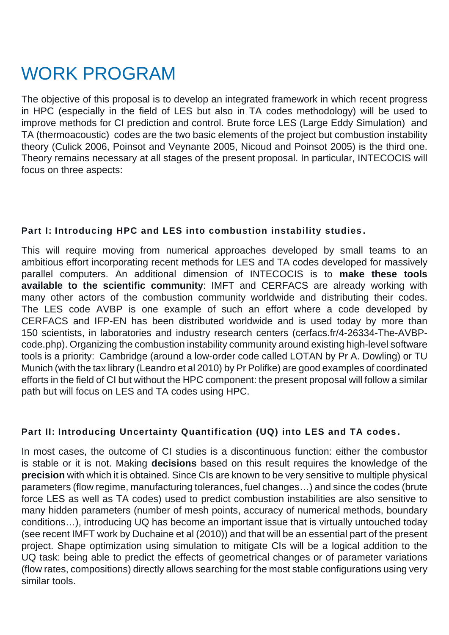## WORK PROGRAM

The objective of this proposal is to develop an integrated framework in which recent progress in HPC (especially in the field of LES but also in TA codes methodology) will be used to improve methods for CI prediction and control. Brute force LES (Large Eddy Simulation) and TA (thermoacoustic) codes are the two basic elements of the project but combustion instability theory (Culick 2006, Poinsot and Veynante 2005, Nicoud and Poinsot 2005) is the third one. Theory remains necessary at all stages of the present proposal. In particular, INTECOCIS will focus on three aspects:

## **Part I: Introducing HPC and LES into combustion instability studies .**

This will require moving from numerical approaches developed by small teams to an ambitious effort incorporating recent methods for LES and TA codes developed for massively parallel computers. An additional dimension of INTECOCIS is to **make these tools available to the scientific community**: IMFT and CERFACS are already working with many other actors of the combustion community worldwide and distributing their codes. The LES code AVBP is one example of such an effort where a code developed by CERFACS and IFP-EN has been distributed worldwide and is used today by more than 150 scientists, in laboratories and industry research centers (cerfacs.fr/4-26334-The-AVBPcode.php). Organizing the combustion instability community around existing high-level software tools is a priority: Cambridge (around a low-order code called LOTAN by Pr A. Dowling) or TU Munich (with the tax library (Leandro et al 2010) by Pr Polifke) are good examples of coordinated efforts in the field of CI but without the HPC component: the present proposal will follow a similar path but will focus on LES and TA codes using HPC.

## **Part II: Introducing Uncertainty Quantification (UQ) into LES and TA codes .**

In most cases, the outcome of CI studies is a discontinuous function: either the combustor is stable or it is not. Making **decisions** based on this result requires the knowledge of the **precision** with which it is obtained. Since CIs are known to be very sensitive to multiple physical parameters (flow regime, manufacturing tolerances, fuel changes…) and since the codes (brute force LES as well as TA codes) used to predict combustion instabilities are also sensitive to many hidden parameters (number of mesh points, accuracy of numerical methods, boundary conditions…), introducing UQ has become an important issue that is virtually untouched today (see recent IMFT work by Duchaine et al (2010)) and that will be an essential part of the present project. Shape optimization using simulation to mitigate CIs will be a logical addition to the UQ task: being able to predict the effects of geometrical changes or of parameter variations (flow rates, compositions) directly allows searching for the most stable configurations using very similar tools.